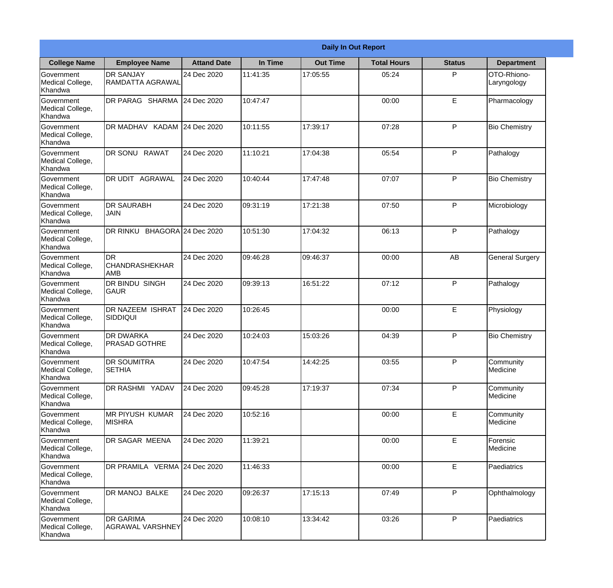|                                           |                                            |                     |          | <b>Daily In Out Report</b> |                    |               |                            |
|-------------------------------------------|--------------------------------------------|---------------------|----------|----------------------------|--------------------|---------------|----------------------------|
| <b>College Name</b>                       | <b>Employee Name</b>                       | <b>Attand Date</b>  | In Time  | <b>Out Time</b>            | <b>Total Hours</b> | <b>Status</b> | <b>Department</b>          |
| Government<br>Medical College,<br>Khandwa | <b>DR SANJAY</b><br>RAMDATTA AGRAWAL       | 24 Dec 2020         | 11:41:35 | 17:05:55                   | 05:24              | P             | OTO-Rhiono-<br>Laryngology |
| Government<br>Medical College,<br>Khandwa | DR PARAG SHARMA                            | 24 Dec 2020         | 10:47:47 |                            | 00:00              | E             | Pharmacology               |
| Government<br>Medical College,<br>Khandwa | DR MADHAV KADAM                            | 24 Dec 2020         | 10:11:55 | 17:39:17                   | 07:28              | P             | <b>Bio Chemistry</b>       |
| Government<br>Medical College,<br>Khandwa | <b>DR SONU RAWAT</b>                       | 24 Dec 2020         | 11:10:21 | 17:04:38                   | 05:54              | P             | Pathalogy                  |
| Government<br>Medical College,<br>Khandwa | <b>AGRAWAL</b><br>DR UDIT                  | 24 Dec 2020         | 10:40:44 | 17:47:48                   | 07:07              | P             | <b>Bio Chemistry</b>       |
| Government<br>Medical College,<br>Khandwa | <b>DR SAURABH</b><br><b>JAIN</b>           | 24 Dec 2020         | 09:31:19 | 17:21:38                   | 07:50              | P             | Microbiology               |
| Government<br>Medical College,<br>Khandwa | DR RINKU                                   | BHAGORA 24 Dec 2020 | 10:51:30 | 17:04:32                   | 06:13              | P             | Pathalogy                  |
| Government<br>Medical College,<br>Khandwa | <b>DR</b><br><b>CHANDRASHEKHAR</b><br> AMB | 24 Dec 2020         | 09:46:28 | 09:46:37                   | 00:00              | AB            | <b>General Surgery</b>     |
| Government<br>Medical College,<br>Khandwa | <b>DR BINDU SINGH</b><br><b>GAUR</b>       | 24 Dec 2020         | 09:39:13 | 16:51:22                   | 07:12              | P             | Pathalogy                  |
| Government<br>Medical College,<br>Khandwa | DR NAZEEM ISHRAT<br><b>SIDDIQUI</b>        | 24 Dec 2020         | 10:26:45 |                            | 00:00              | E             | Physiology                 |
| Government<br>Medical College,<br>Khandwa | <b>DR DWARKA</b><br>PRASAD GOTHRE          | 24 Dec 2020         | 10:24:03 | 15:03:26                   | 04:39              | $\mathsf{P}$  | <b>Bio Chemistry</b>       |
| Government<br>Medical College,<br>Khandwa | <b>DR SOUMITRA</b><br><b>SETHIA</b>        | 24 Dec 2020         | 10:47:54 | 14:42:25                   | 03:55              | P             | Community<br>Medicine      |
| Government<br>Medical College,<br>Khandwa | DR RASHMI YADAV                            | 24 Dec 2020         | 09:45:28 | 17:19:37                   | 07:34              | P             | Community<br>Medicine      |
| Government<br>Medical College,<br>Khandwa | <b>MR PIYUSH KUMAR</b><br><b>MISHRA</b>    | 24 Dec 2020         | 10:52:16 |                            | 00:00              | E             | Community<br>Medicine      |
| Government<br>Medical College,<br>Khandwa | DR SAGAR MEENA                             | 24 Dec 2020         | 11:39:21 |                            | 00:00              | E             | Forensic<br>Medicine       |
| Government<br>Medical College,<br>Khandwa | DR PRAMILA VERMA 24 Dec 2020               |                     | 11:46:33 |                            | 00:00              | E             | Paediatrics                |
| Government<br>Medical College,<br>Khandwa | DR MANOJ BALKE                             | 24 Dec 2020         | 09:26:37 | 17:15:13                   | 07:49              | P             | Ophthalmology              |
| Government<br>Medical College,<br>Khandwa | DR GARIMA<br><b>AGRAWAL VARSHNEY</b>       | 24 Dec 2020         | 10:08:10 | 13:34:42                   | 03:26              | $\mathsf{P}$  | Paediatrics                |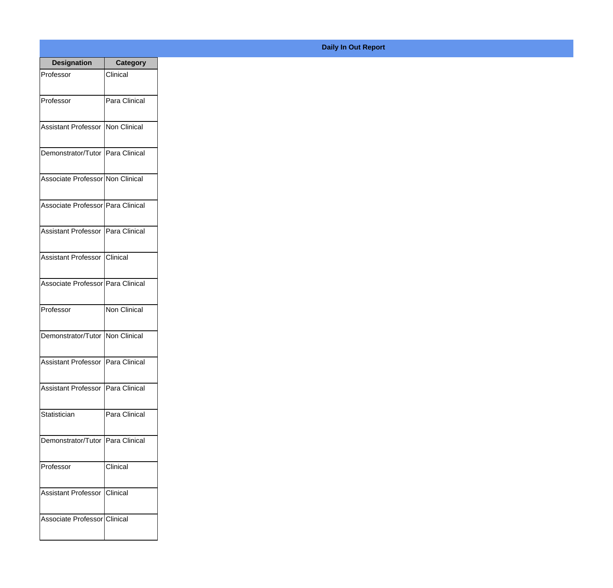| <b>Designation</b>                    | Category      |
|---------------------------------------|---------------|
| Professor                             | Clinical      |
| Professor                             | Para Clinical |
| Assistant Professor Non Clinical      |               |
| Demonstrator/Tutor   Para Clinical    |               |
| Associate Professor Non Clinical      |               |
| Associate Professor   Para Clinical   |               |
| Assistant Professor   Para Clinical   |               |
| Assistant Professor Clinical          |               |
| Associate Professor Para Clinical     |               |
| Professor                             | Non Clinical  |
| Demonstrator/Tutor Non Clinical       |               |
| Assistant Professor   Para Clinical   |               |
| Assistant Professor   Para Clinical   |               |
| <b>Statistician</b>                   | Para Clinical |
| Demonstrator/Tutor   Para Clinical    |               |
| Professor                             | Clinical      |
| <b>Assistant Professor   Clinical</b> |               |
| Associate Professor Clinical          |               |

## **Daily In Out Report**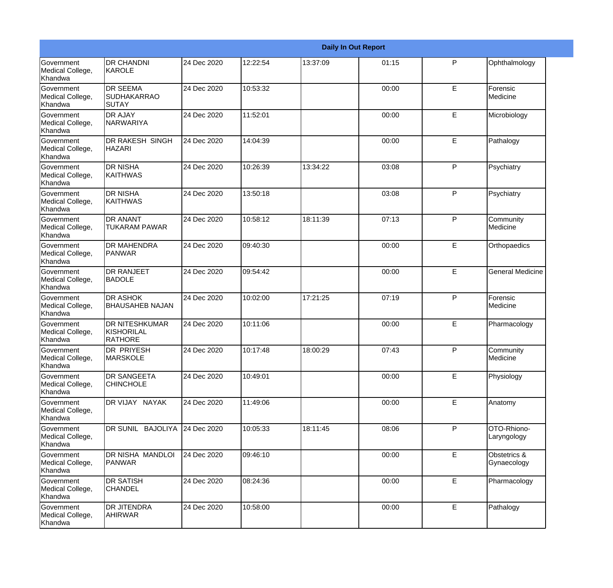|                                                  |                                                       |             |          |          | <b>Daily In Out Report</b> |   |                             |
|--------------------------------------------------|-------------------------------------------------------|-------------|----------|----------|----------------------------|---|-----------------------------|
| Government<br>Medical College,<br>Khandwa        | <b>DR CHANDNI</b><br>KAROLE                           | 24 Dec 2020 | 12:22:54 | 13:37:09 | 01:15                      | P | Ophthalmology               |
| Government<br>Medical College,<br>Khandwa        | <b>DR SEEMA</b><br><b>SUDHAKARRAO</b><br>ISUTAY       | 24 Dec 2020 | 10:53:32 |          | 00:00                      | E | Forensic<br>Medicine        |
| Government<br>Medical College,<br>Khandwa        | <b>DR AJAY</b><br><b>NARWARIYA</b>                    | 24 Dec 2020 | 11:52:01 |          | 00:00                      | E | Microbiology                |
| Government<br>Medical College,<br>Khandwa        | <b>DR RAKESH SINGH</b><br><b>HAZARI</b>               | 24 Dec 2020 | 14:04:39 |          | 00:00                      | E | Pathalogy                   |
| <b>Government</b><br>Medical College,<br>Khandwa | <b>DR NISHA</b><br><b>KAITHWAS</b>                    | 24 Dec 2020 | 10:26:39 | 13:34:22 | 03:08                      | P | Psychiatry                  |
| Government<br>Medical College,<br>Khandwa        | <b>DR NISHA</b><br><b>KAITHWAS</b>                    | 24 Dec 2020 | 13:50:18 |          | 03:08                      | P | Psychiatry                  |
| <b>Government</b><br>Medical College,<br>Khandwa | <b>DR ANANT</b><br><b>TUKARAM PAWAR</b>               | 24 Dec 2020 | 10:58:12 | 18:11:39 | 07:13                      | P | Community<br>Medicine       |
| Government<br>Medical College,<br>Khandwa        | <b>DR MAHENDRA</b><br><b>PANWAR</b>                   | 24 Dec 2020 | 09:40:30 |          | 00:00                      | E | Orthopaedics                |
| <b>Government</b><br>Medical College,<br>Khandwa | <b>DR RANJEET</b><br><b>BADOLE</b>                    | 24 Dec 2020 | 09:54:42 |          | 00:00                      | E | <b>General Medicine</b>     |
| Government<br>Medical College,<br>Khandwa        | <b>DR ASHOK</b><br><b>BHAUSAHEB NAJAN</b>             | 24 Dec 2020 | 10:02:00 | 17:21:25 | 07:19                      | P | Forensic<br>Medicine        |
| <b>Government</b><br>Medical College,<br>Khandwa | <b>DR NITESHKUMAR</b><br>KISHORILAL<br><b>RATHORE</b> | 24 Dec 2020 | 10:11:06 |          | 00:00                      | E | Pharmacology                |
| Government<br>Medical College,<br>Khandwa        | <b>DR PRIYESH</b><br><b>MARSKOLE</b>                  | 24 Dec 2020 | 10:17:48 | 18:00:29 | 07:43                      | P | Community<br>Medicine       |
| Government<br>Medical College,<br>Khandwa        | <b>DR SANGEETA</b><br><b>CHINCHOLE</b>                | 24 Dec 2020 | 10:49:01 |          | 00:00                      | E | Physiology                  |
| Government<br>Medical College,<br>Khandwa        | DR VIJAY NAYAK                                        | 24 Dec 2020 | 11:49:06 |          | 00:00                      | E | Anatomy                     |
| Government<br>Medical College,<br>Khandwa        | DR SUNIL BAJOLIYA 24 Dec 2020                         |             | 10:05:33 | 18:11:45 | 08:06                      | P | OTO-Rhiono-<br>Laryngology  |
| Government<br>Medical College,<br>Khandwa        | DR NISHA MANDLOI<br><b>PANWAR</b>                     | 24 Dec 2020 | 09:46:10 |          | 00:00                      | E | Obstetrics &<br>Gynaecology |
| Government<br>Medical College,<br>Khandwa        | <b>DR SATISH</b><br><b>CHANDEL</b>                    | 24 Dec 2020 | 08:24:36 |          | 00:00                      | E | Pharmacology                |
| Government<br>Medical College,<br>Khandwa        | <b>DR JITENDRA</b><br><b>AHIRWAR</b>                  | 24 Dec 2020 | 10:58:00 |          | 00:00                      | E | Pathalogy                   |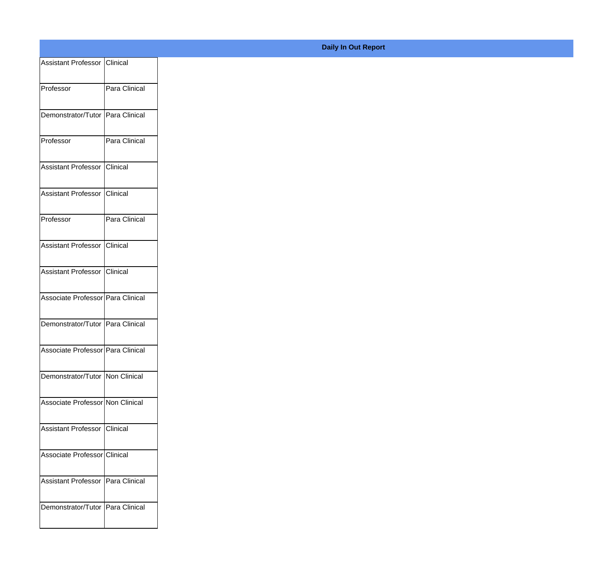| <b>Assistant Professor   Clinical</b> |               |
|---------------------------------------|---------------|
| Professor                             | Para Clinical |
| Demonstrator/Tutor   Para Clinical    |               |
| Professor                             | Para Clinical |
| Assistant Professor                   | Clinical      |
| Assistant Professor I                 | Clinical      |
| Professor                             | Para Clinical |
| Assistant Professor   Clinical        |               |
| Assistant Professor Clinical          |               |
| Associate Professor Para Clinical     |               |
| Demonstrator/Tutor Para Clinical      |               |
| Associate Professor Para Clinical     |               |
| Demonstrator/Tutor Non Clinical       |               |
| Associate Professor Non Clinical      |               |
| Assistant Professor   Clinical        |               |
| Associate Professor Clinical          |               |
| Assistant Professor   Para Clinical   |               |
| Demonstrator/Tutor   Para Clinical    |               |
|                                       |               |

**Daily In Out Report**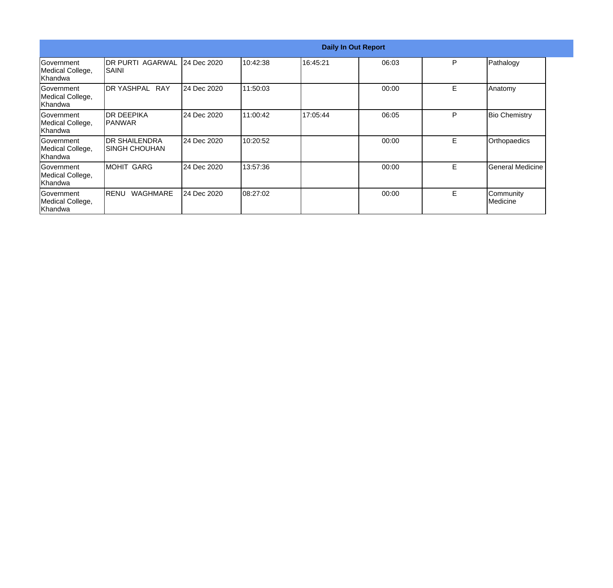| <b>Daily In Out Report</b>                       |                                        |             |          |          |       |    |                                |
|--------------------------------------------------|----------------------------------------|-------------|----------|----------|-------|----|--------------------------------|
| Government<br>Medical College,<br>Khandwa        | IDR PURTI AGARWAL<br>SAINI             | 24 Dec 2020 | 10:42:38 | 16:45:21 | 06:03 | P  | Pathalogy                      |
| Government<br>Medical College,<br> Khandwa       | IDR YASHPAL I<br><b>RAY</b>            | 24 Dec 2020 | 11:50:03 |          | 00:00 | E. | Anatomy                        |
| Government<br>Medical College,<br> Khandwa       | IDR DEEPIKA<br>IPANWAR                 | 24 Dec 2020 | 11:00:42 | 17:05:44 | 06:05 | P  | <b>Bio Chemistry</b>           |
| <b>Sovernment</b><br>Medical College,<br>Khandwa | <b>DR SHAILENDRA</b><br>ISINGH CHOUHAN | 24 Dec 2020 | 10:20:52 |          | 00:00 | E  | Orthopaedics                   |
| <b>Government</b><br>Medical College,<br>Khandwa | MOHIT GARG                             | 24 Dec 2020 | 13:57:36 |          | 00:00 | E. | <b>General Medicine</b>        |
| Government<br>Medical College,<br>Khandwa        | <b>WAGHMARE</b><br><b>IRENU</b>        | 24 Dec 2020 | 08:27:02 |          | 00:00 | E. | Community<br><b>I</b> Medicine |